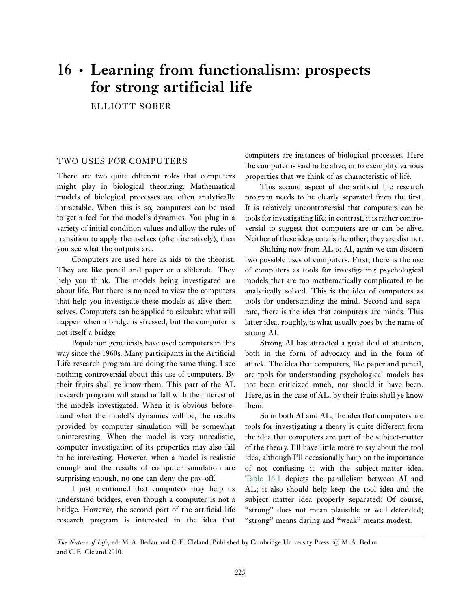# 16 • Learning from functionalism: prospects for strong artificial life

ELLIOTT SOBER

#### TWO USES FOR COMPUTERS

There are two quite different roles that computers might play in biological theorizing. Mathematical models of biological processes are often analytically intractable. When this is so, computers can be used to get a feel for the model's dynamics. You plug in a variety of initial condition values and allow the rules of transition to apply themselves (often iteratively); then you see what the outputs are.

Computers are used here as aids to the theorist. They are like pencil and paper or a sliderule. They help you think. The models being investigated are about life. But there is no need to view the computers that help you investigate these models as alive themselves. Computers can be applied to calculate what will happen when a bridge is stressed, but the computer is not itself a bridge.

Population geneticists have used computers in this way since the 1960s. Many participants in the Artificial Life research program are doing the same thing. I see nothing controversial about this use of computers. By their fruits shall ye know them. This part of the AL research program will stand or fall with the interest of the models investigated. When it is obvious beforehand what the model's dynamics will be, the results provided by computer simulation will be somewhat uninteresting. When the model is very unrealistic, computer investigation of its properties may also fail to be interesting. However, when a model is realistic enough and the results of computer simulation are surprising enough, no one can deny the pay-off.

I just mentioned that computers may help us understand bridges, even though a computer is not a bridge. However, the second part of the artificial life research program is interested in the idea that computers are instances of biological processes. Here the computer is said to be alive, or to exemplify various properties that we think of as characteristic of life.

This second aspect of the artificial life research program needs to be clearly separated from the first. It is relatively uncontroversial that computers can be tools for investigating life; in contrast, it is rather controversial to suggest that computers are or can be alive. Neither of these ideas entails the other; they are distinct.

Shifting now from AL to AI, again we can discern two possible uses of computers. First, there is the use of computers as tools for investigating psychological models that are too mathematically complicated to be analytically solved. This is the idea of computers as tools for understanding the mind. Second and separate, there is the idea that computers are minds. This latter idea, roughly, is what usually goes by the name of strong AI.

Strong AI has attracted a great deal of attention, both in the form of advocacy and in the form of attack. The idea that computers, like paper and pencil, are tools for understanding psychological models has not been criticized much, nor should it have been. Here, as in the case of AL, by their fruits shall ye know them.

So in both AI and AL, the idea that computers are tools for investigating a theory is quite different from the idea that computers are part of the subject-matter of the theory. I'll have little more to say about the tool idea, although I'll occasionally harp on the importance of not confusing it with the subject-matter idea. Table 16.1 depicts the parallelism between AI and AL; it also should help keep the tool idea and the subject matter idea properly separated: Of course, "strong" does not mean plausible or well defended; "strong" means daring and "weak" means modest.

The Nature of Life, ed. M. A. Bedau and C. E. Cleland. Published by Cambridge University Press. © M. A. Bedau and C. E. Cleland 2010.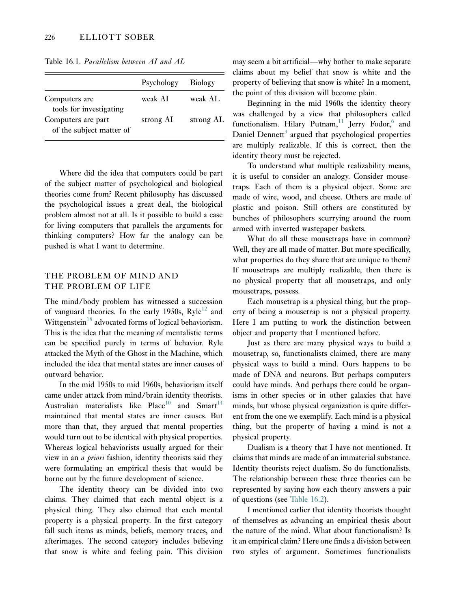Table 16.1. Parallelism between AI and AL

|                                                | Psychology | <b>Biology</b> |
|------------------------------------------------|------------|----------------|
| Computers are<br>tools for investigating       | weak AI    | weak AL        |
| Computers are part<br>of the subject matter of | strong AI  | strong AL      |

Where did the idea that computers could be part of the subject matter of psychological and biological theories come from? Recent philosophy has discussed the psychological issues a great deal, the biological problem almost not at all. Is it possible to build a case for living computers that parallels the arguments for thinking computers? How far the analogy can be pushed is what I want to determine.

## THE PROBLEM OF MIND AND THE PROBLEM OF LIFE

The mind/body problem has witnessed a succession of vanguard theories. In the early 1950s,  $Ryle^{12}$  and Wittgenstein<sup>18</sup> advocated forms of logical behaviorism. This is the idea that the meaning of mentalistic terms can be specified purely in terms of behavior. Ryle attacked the Myth of the Ghost in the Machine, which included the idea that mental states are inner causes of outward behavior.

In the mid 1950s to mid 1960s, behaviorism itself came under attack from mind/brain identity theorists. Australian materialists like  $Place<sup>10</sup>$  and  $Smart<sup>14</sup>$ maintained that mental states are inner causes. But more than that, they argued that mental properties would turn out to be identical with physical properties. Whereas logical behaviorists usually argued for their view in an a priori fashion, identity theorists said they were formulating an empirical thesis that would be borne out by the future development of science.

The identity theory can be divided into two claims. They claimed that each mental object is a physical thing. They also claimed that each mental property is a physical property. In the first category fall such items as minds, beliefs, memory traces, and afterimages. The second category includes believing that snow is white and feeling pain. This division may seem a bit artificial—why bother to make separate claims about my belief that snow is white and the property of believing that snow is white? In a moment, the point of this division will become plain.

Beginning in the mid 1960s the identity theory was challenged by a view that philosophers called functionalism. Hilary Putnam,  $11$  Jerry Fodor, and Daniel Dennett<sup>3</sup> argued that psychological properties are multiply realizable. If this is correct, then the identity theory must be rejected.

To understand what multiple realizability means, it is useful to consider an analogy. Consider mousetraps. Each of them is a physical object. Some are made of wire, wood, and cheese. Others are made of plastic and poison. Still others are constituted by bunches of philosophers scurrying around the room armed with inverted wastepaper baskets.

What do all these mousetraps have in common? Well, they are all made of matter. But more specifically, what properties do they share that are unique to them? If mousetraps are multiply realizable, then there is no physical property that all mousetraps, and only mousetraps, possess.

Each mousetrap is a physical thing, but the property of being a mousetrap is not a physical property. Here I am putting to work the distinction between object and property that I mentioned before.

Just as there are many physical ways to build a mousetrap, so, functionalists claimed, there are many physical ways to build a mind. Ours happens to be made of DNA and neurons. But perhaps computers could have minds. And perhaps there could be organisms in other species or in other galaxies that have minds, but whose physical organization is quite different from the one we exemplify. Each mind is a physical thing, but the property of having a mind is not a physical property.

Dualism is a theory that I have not mentioned. It claims that minds are made of an immaterial substance. Identity theorists reject dualism. So do functionalists. The relationship between these three theories can be represented by saying how each theory answers a pair of questions (see Table 16.2).

I mentioned earlier that identity theorists thought of themselves as advancing an empirical thesis about the nature of the mind. What about functionalism? Is it an empirical claim? Here one finds a division between two styles of argument. Sometimes functionalists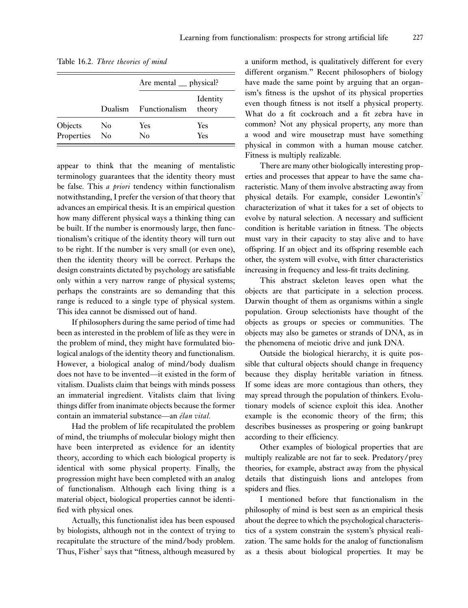|            |                | Are mental $\equiv$ physical? |                    |
|------------|----------------|-------------------------------|--------------------|
|            |                | Dualism Functionalism         | Identity<br>theory |
| Objects    | No.            | <b>Yes</b>                    | Yes                |
| Properties | N <sub>0</sub> | $\rm No$                      | Yes                |

Table 16.2. Three theories of mind

appear to think that the meaning of mentalistic terminology guarantees that the identity theory must be false. This a priori tendency within functionalism notwithstanding, I prefer the version of that theory that advances an empirical thesis. It is an empirical question how many different physical ways a thinking thing can be built. If the number is enormously large, then functionalism's critique of the identity theory will turn out to be right. If the number is very small (or even one), then the identity theory will be correct. Perhaps the design constraints dictated by psychology are satisfiable only within a very narrow range of physical systems; perhaps the constraints are so demanding that this range is reduced to a single type of physical system. This idea cannot be dismissed out of hand.

If philosophers during the same period of time had been as interested in the problem of life as they were in the problem of mind, they might have formulated biological analogs of the identity theory and functionalism. However, a biological analog of mind/body dualism does not have to be invented—it existed in the form of vitalism. Dualists claim that beings with minds possess an immaterial ingredient. Vitalists claim that living things differ from inanimate objects because the former contain an immaterial substance—an élan vital.

Had the problem of life recapitulated the problem of mind, the triumphs of molecular biology might then have been interpreted as evidence for an identity theory, according to which each biological property is identical with some physical property. Finally, the progression might have been completed with an analog of functionalism. Although each living thing is a material object, biological properties cannot be identified with physical ones.

Actually, this functionalist idea has been espoused by biologists, although not in the context of trying to recapitulate the structure of the mind/body problem. Thus, Fisher<sup>5</sup> says that "fitness, although measured by

a uniform method, is qualitatively different for every different organism." Recent philosophers of biology have made the same point by arguing that an organism's fitness is the upshot of its physical properties even though fitness is not itself a physical property. What do a fit cockroach and a fit zebra have in common? Not any physical property, any more than a wood and wire mousetrap must have something physical in common with a human mouse catcher. Fitness is multiply realizable.

There are many other biologically interesting properties and processes that appear to have the same characteristic. Many of them involve abstracting away from physical details. For example, consider Lewontin's<sup>1</sup> characterization of what it takes for a set of objects to evolve by natural selection. A necessary and sufficient condition is heritable variation in fitness. The objects must vary in their capacity to stay alive and to have offspring. If an object and its offspring resemble each other, the system will evolve, with fitter characteristics increasing in frequency and less-fit traits declining.

This abstract skeleton leaves open what the objects are that participate in a selection process. Darwin thought of them as organisms within a single population. Group selectionists have thought of the objects as groups or species or communities. The objects may also be gametes or strands of DNA, as in the phenomena of meiotic drive and junk DNA.

Outside the biological hierarchy, it is quite possible that cultural objects should change in frequency because they display heritable variation in fitness. If some ideas are more contagious than others, they may spread through the population of thinkers. Evolutionary models of science exploit this idea. Another example is the economic theory of the firm; this describes businesses as prospering or going bankrupt according to their efficiency.

Other examples of biological properties that are multiply realizable are not far to seek. Predatory/prey theories, for example, abstract away from the physical details that distinguish lions and antelopes from spiders and flies.

I mentioned before that functionalism in the philosophy of mind is best seen as an empirical thesis about the degree to which the psychological characteristics of a system constrain the system's physical realization. The same holds for the analog of functionalism as a thesis about biological properties. It may be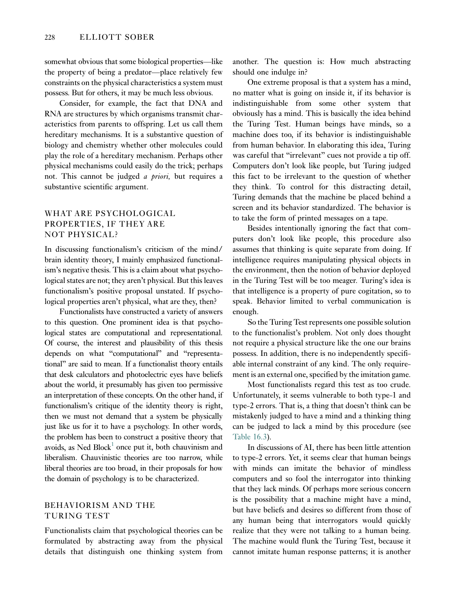somewhat obvious that some biological properties—like the property of being a predator—place relatively few constraints on the physical characteristics a system must possess. But for others, it may be much less obvious.

Consider, for example, the fact that DNA and RNA are structures by which organisms transmit characteristics from parents to offspring. Let us call them hereditary mechanisms. It is a substantive question of biology and chemistry whether other molecules could play the role of a hereditary mechanism. Perhaps other physical mechanisms could easily do the trick; perhaps not. This cannot be judged a priori, but requires a substantive scientific argument.

## WHAT ARE PSYCHOLOGICAL PROPERTIES, IF THEY ARE NOT PHYSICAL?

In discussing functionalism's criticism of the mind/ brain identity theory, I mainly emphasized functionalism's negative thesis. This is a claim about what psychological states are not; they aren't physical. But this leaves functionalism's positive proposal unstated. If psychological properties aren't physical, what are they, then?

Functionalists have constructed a variety of answers to this question. One prominent idea is that psychological states are computational and representational. Of course, the interest and plausibility of this thesis depends on what "computational" and "representational" are said to mean. If a functionalist theory entails that desk calculators and photoelectric eyes have beliefs about the world, it presumably has given too permissive an interpretation of these concepts. On the other hand, if functionalism's critique of the identity theory is right, then we must not demand that a system be physically just like us for it to have a psychology. In other words, the problem has been to construct a positive theory that avoids, as Ned Block<sup>1</sup> once put it, both chauvinism and liberalism. Chauvinistic theories are too narrow, while liberal theories are too broad, in their proposals for how the domain of psychology is to be characterized.

## BEHAVIORISM AND THE TURING TEST

Functionalists claim that psychological theories can be formulated by abstracting away from the physical details that distinguish one thinking system from another. The question is: How much abstracting should one indulge in?

One extreme proposal is that a system has a mind, no matter what is going on inside it, if its behavior is indistinguishable from some other system that obviously has a mind. This is basically the idea behind the Turing Test. Human beings have minds, so a machine does too, if its behavior is indistinguishable from human behavior. In elaborating this idea, Turing was careful that "irrelevant" cues not provide a tip off. Computers don't look like people, but Turing judged this fact to be irrelevant to the question of whether they think. To control for this distracting detail, Turing demands that the machine be placed behind a screen and its behavior standardized. The behavior is to take the form of printed messages on a tape.

Besides intentionally ignoring the fact that computers don't look like people, this procedure also assumes that thinking is quite separate from doing. If intelligence requires manipulating physical objects in the environment, then the notion of behavior deployed in the Turing Test will be too meager. Turing's idea is that intelligence is a property of pure cogitation, so to speak. Behavior limited to verbal communication is enough.

So the Turing Test represents one possible solution to the functionalist's problem. Not only does thought not require a physical structure like the one our brains possess. In addition, there is no independently specifiable internal constraint of any kind. The only requirement is an external one, specified by the imitation game.

Most functionalists regard this test as too crude. Unfortunately, it seems vulnerable to both type-1 and type-2 errors. That is, a thing that doesn't think can be mistakenly judged to have a mind and a thinking thing can be judged to lack a mind by this procedure (see Table 16.3).

In discussions of AI, there has been little attention to type-2 errors. Yet, it seems clear that human beings with minds can imitate the behavior of mindless computers and so fool the interrogator into thinking that they lack minds. Of perhaps more serious concern is the possibility that a machine might have a mind, but have beliefs and desires so different from those of any human being that interrogators would quickly realize that they were not talking to a human being. The machine would flunk the Turing Test, because it cannot imitate human response patterns; it is another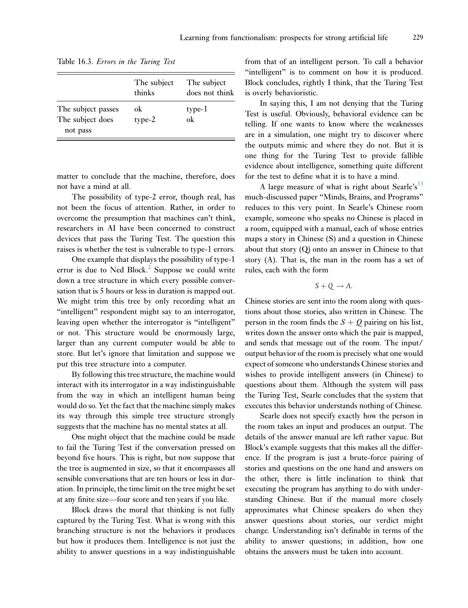|                                                    | The subject<br>thinks | The subject<br>does not think |
|----------------------------------------------------|-----------------------|-------------------------------|
| The subject passes<br>The subject does<br>not pass | ok<br>$type-2$        | type-1<br>ok                  |

Table 16.3. Errors in the Turing Test

matter to conclude that the machine, therefore, does not have a mind at all.

The possibility of type-2 error, though real, has not been the focus of attention. Rather, in order to overcome the presumption that machines can't think, researchers in AI have been concerned to construct devices that pass the Turing Test. The question this raises is whether the test is vulnerable to type-1 errors.

One example that displays the possibility of type-1 error is due to Ned Block.<sup>2</sup> Suppose we could write down a tree structure in which every possible conversation that is 5 hours or less in duration is mapped out. We might trim this tree by only recording what an "intelligent" respondent might say to an interrogator, leaving open whether the interrogator is "intelligent" or not. This structure would be enormously large, larger than any current computer would be able to store. But let's ignore that limitation and suppose we put this tree structure into a computer.

By following this tree structure, the machine would interact with its interrogator in a way indistinguishable from the way in which an intelligent human being would do so. Yet the fact that the machine simply makes its way through this simple tree structure strongly suggests that the machine has no mental states at all.

One might object that the machine could be made to fail the Turing Test if the conversation pressed on beyond five hours. This is right, but now suppose that the tree is augmented in size, so that it encompasses all sensible conversations that are ten hours or less in duration. In principle, the time limit on the tree might be set at any finite size—four score and ten years if you like.

Block draws the moral that thinking is not fully captured by the Turing Test. What is wrong with this branching structure is not the behaviors it produces but how it produces them. Intelligence is not just the ability to answer questions in a way indistinguishable

from that of an intelligent person. To call a behavior "intelligent" is to comment on how it is produced. Block concludes, rightly I think, that the Turing Test is overly behavioristic.

In saying this, I am not denying that the Turing Test is useful. Obviously, behavioral evidence can be telling. If one wants to know where the weaknesses are in a simulation, one might try to discover where the outputs mimic and where they do not. But it is one thing for the Turing Test to provide fallible evidence about intelligence, something quite different for the test to define what it is to have a mind.

A large measure of what is right about Searle's<sup>13</sup> much-discussed paper "Minds, Brains, and Programs" reduces to this very point. In Searle's Chinese room example, someone who speaks no Chinese is placed in a room, equipped with a manual, each of whose entries maps a story in Chinese (S) and a question in Chinese about that story (Q) onto an answer in Chinese to that story (A). That is, the man in the room has a set of rules, each with the form

$$
S+Q\to A.
$$

Chinese stories are sent into the room along with questions about those stories, also written in Chinese. The person in the room finds the  $S + Q$  pairing on his list, writes down the answer onto which the pair is mapped, and sends that message out of the room. The input/ output behavior of the room is precisely what one would expect of someone who understands Chinese stories and wishes to provide intelligent answers (in Chinese) to questions about them. Although the system will pass the Turing Test, Searle concludes that the system that executes this behavior understands nothing of Chinese.

Searle does not specify exactly how the person in the room takes an input and produces an output. The details of the answer manual are left rather vague. But Block's example suggests that this makes all the difference. If the program is just a brute-force pairing of stories and questions on the one hand and answers on the other, there is little inclination to think that executing the program has anything to do with understanding Chinese. But if the manual more closely approximates what Chinese speakers do when they answer questions about stories, our verdict might change. Understanding isn't definable in terms of the ability to answer questions; in addition, how one obtains the answers must be taken into account.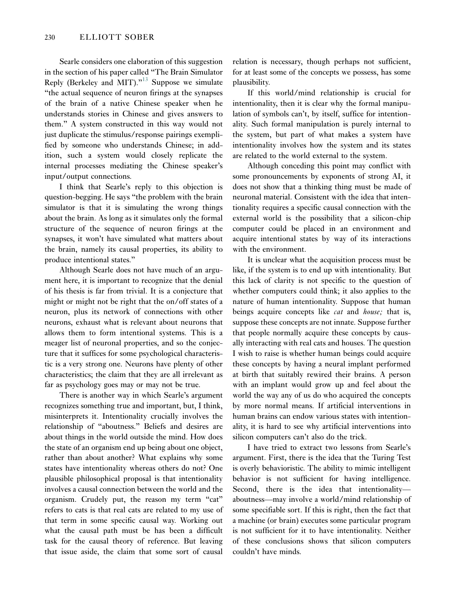Searle considers one elaboration of this suggestion in the section of his paper called "The Brain Simulator Reply (Berkeley and MIT). $v^{13}$  Suppose we simulate "the actual sequence of neuron firings at the synapses of the brain of a native Chinese speaker when he understands stories in Chinese and gives answers to them." A system constructed in this way would not just duplicate the stimulus/response pairings exemplified by someone who understands Chinese; in addition, such a system would closely replicate the internal processes mediating the Chinese speaker's input/output connections.

I think that Searle's reply to this objection is question-begging. He says "the problem with the brain simulator is that it is simulating the wrong things about the brain. As long as it simulates only the formal structure of the sequence of neuron firings at the synapses, it won't have simulated what matters about the brain, namely its causal properties, its ability to produce intentional states."

Although Searle does not have much of an argument here, it is important to recognize that the denial of his thesis is far from trivial. It is a conjecture that might or might not be right that the on/off states of a neuron, plus its network of connections with other neurons, exhaust what is relevant about neurons that allows them to form intentional systems. This is a meager list of neuronal properties, and so the conjecture that it suffices for some psychological characteristic is a very strong one. Neurons have plenty of other characteristics; the claim that they are all irrelevant as far as psychology goes may or may not be true.

There is another way in which Searle's argument recognizes something true and important, but, I think, misinterprets it. Intentionality crucially involves the relationship of "aboutness." Beliefs and desires are about things in the world outside the mind. How does the state of an organism end up being about one object, rather than about another? What explains why some states have intentionality whereas others do not? One plausible philosophical proposal is that intentionality involves a causal connection between the world and the organism. Crudely put, the reason my term "cat" refers to cats is that real cats are related to my use of that term in some specific causal way. Working out what the causal path must be has been a difficult task for the causal theory of reference. But leaving that issue aside, the claim that some sort of causal

relation is necessary, though perhaps not sufficient, for at least some of the concepts we possess, has some plausibility.

If this world/mind relationship is crucial for intentionality, then it is clear why the formal manipulation of symbols can't, by itself, suffice for intentionality. Such formal manipulation is purely internal to the system, but part of what makes a system have intentionality involves how the system and its states are related to the world external to the system.

Although conceding this point may conflict with some pronouncements by exponents of strong AI, it does not show that a thinking thing must be made of neuronal material. Consistent with the idea that intentionality requires a specific causal connection with the external world is the possibility that a silicon-chip computer could be placed in an environment and acquire intentional states by way of its interactions with the environment.

It is unclear what the acquisition process must be like, if the system is to end up with intentionality. But this lack of clarity is not specific to the question of whether computers could think; it also applies to the nature of human intentionality. Suppose that human beings acquire concepts like *cat* and *house*; that is, suppose these concepts are not innate. Suppose further that people normally acquire these concepts by causally interacting with real cats and houses. The question I wish to raise is whether human beings could acquire these concepts by having a neural implant performed at birth that suitably rewired their brains. A person with an implant would grow up and feel about the world the way any of us do who acquired the concepts by more normal means. If artificial interventions in human brains can endow various states with intentionality, it is hard to see why artificial interventions into silicon computers can't also do the trick.

I have tried to extract two lessons from Searle's argument. First, there is the idea that the Turing Test is overly behavioristic. The ability to mimic intelligent behavior is not sufficient for having intelligence. Second, there is the idea that intentionality aboutness—may involve a world/mind relationship of some specifiable sort. If this is right, then the fact that a machine (or brain) executes some particular program is not sufficient for it to have intentionality. Neither of these conclusions shows that silicon computers couldn't have minds.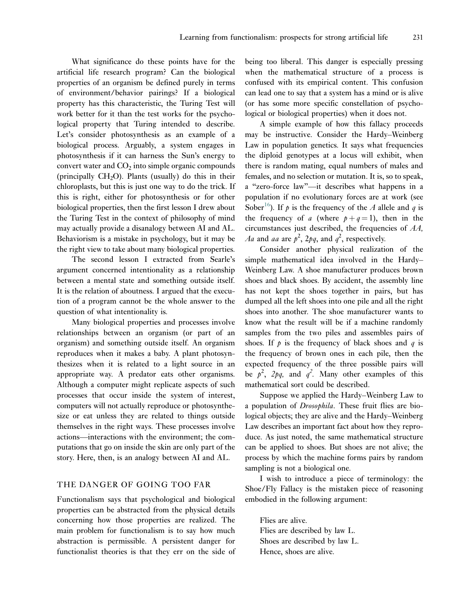What significance do these points have for the artificial life research program? Can the biological properties of an organism be defined purely in terms of environment/behavior pairings? If a biological property has this characteristic, the Turing Test will work better for it than the test works for the psychological property that Turing intended to describe. Let's consider photosynthesis as an example of a biological process. Arguably, a system engages in photosynthesis if it can harness the Sun's energy to convert water and  $CO<sub>2</sub>$  into simple organic compounds (principally  $CH<sub>2</sub>O$ ). Plants (usually) do this in their chloroplasts, but this is just one way to do the trick. If this is right, either for photosynthesis or for other biological properties, then the first lesson I drew about the Turing Test in the context of philosophy of mind may actually provide a disanalogy between AI and AL. Behaviorism is a mistake in psychology, but it may be the right view to take about many biological properties.

The second lesson I extracted from Searle's argument concerned intentionality as a relationship between a mental state and something outside itself. It is the relation of aboutness. I argued that the execution of a program cannot be the whole answer to the question of what intentionality is.

Many biological properties and processes involve relationships between an organism (or part of an organism) and something outside itself. An organism reproduces when it makes a baby. A plant photosynthesizes when it is related to a light source in an appropriate way. A predator eats other organisms. Although a computer might replicate aspects of such processes that occur inside the system of interest, computers will not actually reproduce or photosynthesize or eat unless they are related to things outside themselves in the right ways. These processes involve actions—interactions with the environment; the computations that go on inside the skin are only part of the story. Here, then, is an analogy between AI and AL.

#### THE DANGER OF GOING TOO FAR

Functionalism says that psychological and biological properties can be abstracted from the physical details concerning how those properties are realized. The main problem for functionalism is to say how much abstraction is permissible. A persistent danger for functionalist theories is that they err on the side of being too liberal. This danger is especially pressing when the mathematical structure of a process is confused with its empirical content. This confusion can lead one to say that a system has a mind or is alive (or has some more specific constellation of psychological or biological properties) when it does not.

A simple example of how this fallacy proceeds may be instructive. Consider the Hardy–Weinberg Law in population genetics. It says what frequencies the diploid genotypes at a locus will exhibit, when there is random mating, equal numbers of males and females, and no selection or mutation. It is, so to speak, a "zero-force law"—it describes what happens in a population if no evolutionary forces are at work (see Sober<sup>16</sup>). If p is the frequency of the A allele and q is the frequency of a (where  $p + q = 1$ ), then in the circumstances just described, the frequencies of AA, *Aa* and *aa* are  $p^2$ , 2pq, and  $q^2$ , respectively.

Consider another physical realization of the simple mathematical idea involved in the Hardy– Weinberg Law. A shoe manufacturer produces brown shoes and black shoes. By accident, the assembly line has not kept the shoes together in pairs, but has dumped all the left shoes into one pile and all the right shoes into another. The shoe manufacturer wants to know what the result will be if a machine randomly samples from the two piles and assembles pairs of shoes. If  $p$  is the frequency of black shoes and q is the frequency of brown ones in each pile, then the expected frequency of the three possible pairs will be  $p^2$ , 2pq, and  $q^2$ . Many other examples of this mathematical sort could be described.

Suppose we applied the Hardy–Weinberg Law to a population of Drosophila. These fruit flies are biological objects; they are alive and the Hardy–Weinberg Law describes an important fact about how they reproduce. As just noted, the same mathematical structure can be applied to shoes. But shoes are not alive; the process by which the machine forms pairs by random sampling is not a biological one.

I wish to introduce a piece of terminology: the Shoe/Fly Fallacy is the mistaken piece of reasoning embodied in the following argument:

Flies are alive. Flies are described by law L. Shoes are described by law L. Hence, shoes are alive.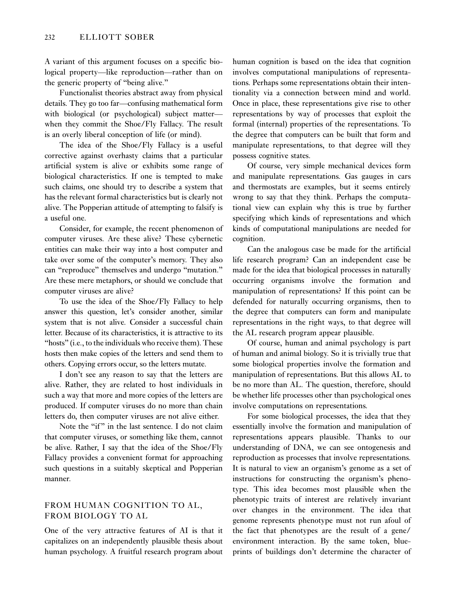A variant of this argument focuses on a specific biological property—like reproduction—rather than on the generic property of "being alive."

Functionalist theories abstract away from physical details. They go too far—confusing mathematical form with biological (or psychological) subject matter when they commit the Shoe/Fly Fallacy. The result is an overly liberal conception of life (or mind).

The idea of the Shoe/Fly Fallacy is a useful corrective against overhasty claims that a particular artificial system is alive or exhibits some range of biological characteristics. If one is tempted to make such claims, one should try to describe a system that has the relevant formal characteristics but is clearly not alive. The Popperian attitude of attempting to falsify is a useful one.

Consider, for example, the recent phenomenon of computer viruses. Are these alive? These cybernetic entities can make their way into a host computer and take over some of the computer's memory. They also can "reproduce" themselves and undergo "mutation." Are these mere metaphors, or should we conclude that computer viruses are alive?

To use the idea of the Shoe/Fly Fallacy to help answer this question, let's consider another, similar system that is not alive. Consider a successful chain letter. Because of its characteristics, it is attractive to its "hosts" (i.e., to the individuals who receive them). These hosts then make copies of the letters and send them to others. Copying errors occur, so the letters mutate.

I don't see any reason to say that the letters are alive. Rather, they are related to host individuals in such a way that more and more copies of the letters are produced. If computer viruses do no more than chain letters do, then computer viruses are not alive either.

Note the "if" in the last sentence. I do not claim that computer viruses, or something like them, cannot be alive. Rather, I say that the idea of the Shoe/Fly Fallacy provides a convenient format for approaching such questions in a suitably skeptical and Popperian manner.

## FROM HUMAN COGNITION TO AL, FROM BIOLOGY TO AL

One of the very attractive features of AI is that it capitalizes on an independently plausible thesis about human psychology. A fruitful research program about human cognition is based on the idea that cognition involves computational manipulations of representations. Perhaps some representations obtain their intentionality via a connection between mind and world. Once in place, these representations give rise to other representations by way of processes that exploit the formal (internal) properties of the representations. To the degree that computers can be built that form and manipulate representations, to that degree will they possess cognitive states.

Of course, very simple mechanical devices form and manipulate representations. Gas gauges in cars and thermostats are examples, but it seems entirely wrong to say that they think. Perhaps the computational view can explain why this is true by further specifying which kinds of representations and which kinds of computational manipulations are needed for cognition.

Can the analogous case be made for the artificial life research program? Can an independent case be made for the idea that biological processes in naturally occurring organisms involve the formation and manipulation of representations? If this point can be defended for naturally occurring organisms, then to the degree that computers can form and manipulate representations in the right ways, to that degree will the AL research program appear plausible.

Of course, human and animal psychology is part of human and animal biology. So it is trivially true that some biological properties involve the formation and manipulation of representations. But this allows AL to be no more than AL. The question, therefore, should be whether life processes other than psychological ones involve computations on representations.

For some biological processes, the idea that they essentially involve the formation and manipulation of representations appears plausible. Thanks to our understanding of DNA, we can see ontogenesis and reproduction as processes that involve representations. It is natural to view an organism's genome as a set of instructions for constructing the organism's phenotype. This idea becomes most plausible when the phenotypic traits of interest are relatively invariant over changes in the environment. The idea that genome represents phenotype must not run afoul of the fact that phenotypes are the result of a gene/ environment interaction. By the same token, blueprints of buildings don't determine the character of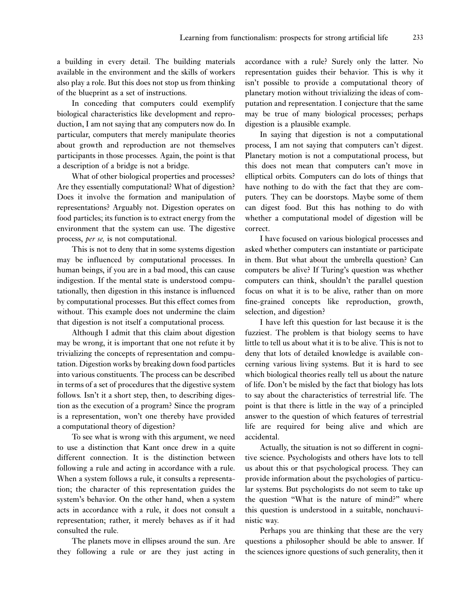a building in every detail. The building materials available in the environment and the skills of workers also play a role. But this does not stop us from thinking of the blueprint as a set of instructions.

In conceding that computers could exemplify biological characteristics like development and reproduction, I am not saying that any computers now do. In particular, computers that merely manipulate theories about growth and reproduction are not themselves participants in those processes. Again, the point is that a description of a bridge is not a bridge.

What of other biological properties and processes? Are they essentially computational? What of digestion? Does it involve the formation and manipulation of representations? Arguably not. Digestion operates on food particles; its function is to extract energy from the environment that the system can use. The digestive process, per se, is not computational.

This is not to deny that in some systems digestion may be influenced by computational processes. In human beings, if you are in a bad mood, this can cause indigestion. If the mental state is understood computationally, then digestion in this instance is influenced by computational processes. But this effect comes from without. This example does not undermine the claim that digestion is not itself a computational process.

Although I admit that this claim about digestion may be wrong, it is important that one not refute it by trivializing the concepts of representation and computation. Digestion works by breaking down food particles into various constituents. The process can be described in terms of a set of procedures that the digestive system follows. Isn't it a short step, then, to describing digestion as the execution of a program? Since the program is a representation, won't one thereby have provided a computational theory of digestion?

To see what is wrong with this argument, we need to use a distinction that Kant once drew in a quite different connection. It is the distinction between following a rule and acting in accordance with a rule. When a system follows a rule, it consults a representation; the character of this representation guides the system's behavior. On the other hand, when a system acts in accordance with a rule, it does not consult a representation; rather, it merely behaves as if it had consulted the rule.

The planets move in ellipses around the sun. Are they following a rule or are they just acting in accordance with a rule? Surely only the latter. No representation guides their behavior. This is why it isn't possible to provide a computational theory of planetary motion without trivializing the ideas of computation and representation. I conjecture that the same may be true of many biological processes; perhaps digestion is a plausible example.

In saying that digestion is not a computational process, I am not saying that computers can't digest. Planetary motion is not a computational process, but this does not mean that computers can't move in elliptical orbits. Computers can do lots of things that have nothing to do with the fact that they are computers. They can be doorstops. Maybe some of them can digest food. But this has nothing to do with whether a computational model of digestion will be correct.

I have focused on various biological processes and asked whether computers can instantiate or participate in them. But what about the umbrella question? Can computers be alive? If Turing's question was whether computers can think, shouldn't the parallel question focus on what it is to be alive, rather than on more fine-grained concepts like reproduction, growth, selection, and digestion?

I have left this question for last because it is the fuzziest. The problem is that biology seems to have little to tell us about what it is to be alive. This is not to deny that lots of detailed knowledge is available concerning various living systems. But it is hard to see which biological theories really tell us about the nature of life. Don't be misled by the fact that biology has lots to say about the characteristics of terrestrial life. The point is that there is little in the way of a principled answer to the question of which features of terrestrial life are required for being alive and which are accidental.

Actually, the situation is not so different in cognitive science. Psychologists and others have lots to tell us about this or that psychological process. They can provide information about the psychologies of particular systems. But psychologists do not seem to take up the question "What is the nature of mind?" where this question is understood in a suitable, nonchauvinistic way.

Perhaps you are thinking that these are the very questions a philosopher should be able to answer. If the sciences ignore questions of such generality, then it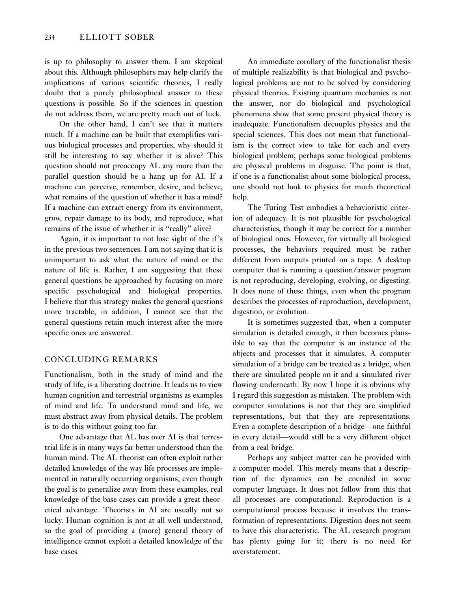is up to philosophy to answer them. I am skeptical about this. Although philosophers may help clarify the implications of various scientific theories, I really doubt that a purely philosophical answer to these questions is possible. So if the sciences in question do not address them, we are pretty much out of luck.

On the other hand, I can't see that it matters much. If a machine can be built that exemplifies various biological processes and properties, why should it still be interesting to say whether it is alive? This question should not preoccupy AL any more than the parallel question should be a hang up for AI. If a machine can perceive, remember, desire, and believe, what remains of the question of whether it has a mind? If a machine can extract energy from its environment, grow, repair damage to its body, and reproduce, what remains of the issue of whether it is "really" alive?

Again, it is important to not lose sight of the if 's in the previous two sentences. I am not saying that it is unimportant to ask what the nature of mind or the nature of life is. Rather, I am suggesting that these general questions be approached by focusing on more specific psychological and biological properties. I believe that this strategy makes the general questions more tractable; in addition, I cannot see that the general questions retain much interest after the more specific ones are answered.

## CONCLUDING REMARKS

Functionalism, both in the study of mind and the study of life, is a liberating doctrine. It leads us to view human cognition and terrestrial organisms as examples of mind and life. To understand mind and life, we must abstract away from physical details. The problem is to do this without going too far.

One advantage that AL has over AI is that terrestrial life is in many ways far better understood than the human mind. The AL theorist can often exploit rather detailed knowledge of the way life processes are implemented in naturally occurring organisms; even though the goal is to generalize away from these examples, real knowledge of the base cases can provide a great theoretical advantage. Theorists in AI are usually not so lucky. Human cognition is not at all well understood, so the goal of providing a (more) general theory of intelligence cannot exploit a detailed knowledge of the base cases.

An immediate corollary of the functionalist thesis of multiple realizability is that biological and psychological problems are not to be solved by considering physical theories. Existing quantum mechanics is not the answer, nor do biological and psychological phenomena show that some present physical theory is inadequate. Functionalism decouples physics and the special sciences. This does not mean that functionalism is the correct view to take for each and every biological problem; perhaps some biological problems are physical problems in disguise. The point is that, if one is a functionalist about some biological process, one should not look to physics for much theoretical help.

The Turing Test embodies a behavioristic criterion of adequacy. It is not plausible for psychological characteristics, though it may be correct for a number of biological ones. However, for virtually all biological processes, the behaviors required must be rather different from outputs printed on a tape. A desktop computer that is running a question/answer program is not reproducing, developing, evolving, or digesting. It does none of these things, even when the program describes the processes of reproduction, development, digestion, or evolution.

It is sometimes suggested that, when a computer simulation is detailed enough, it then becomes plausible to say that the computer is an instance of the objects and processes that it simulates. A computer simulation of a bridge can be treated as a bridge, when there are simulated people on it and a simulated river flowing underneath. By now I hope it is obvious why I regard this suggestion as mistaken. The problem with computer simulations is not that they are simplified representations, but that they are representations. Even a complete description of a bridge—one faithful in every detail—would still be a very different object from a real bridge.

Perhaps any subject matter can be provided with a computer model. This merely means that a description of the dynamics can be encoded in some computer language. It does not follow from this that all processes are computational. Reproduction is a computational process because it involves the transformation of representations. Digestion does not seem to have this characteristic. The AL research program has plenty going for it; there is no need for overstatement.